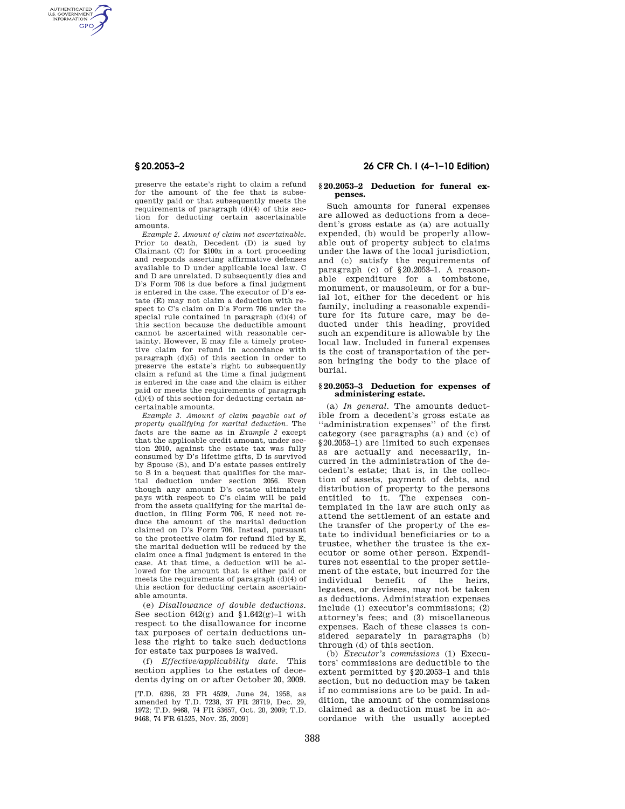AUTHENTICATED<br>U.S. GOVERNMENT<br>INFORMATION **GPO** 

> preserve the estate's right to claim a refund for the amount of the fee that is subsequently paid or that subsequently meets the requirements of paragraph (d)(4) of this section for deducting certain ascertainable amounts.

> *Example 2. Amount of claim not ascertainable.*  Prior to death, Decedent (D) is sued by Claimant (C) for \$100x in a tort proceeding and responds asserting affirmative defenses available to D under applicable local law. C and D are unrelated. D subsequently dies and D's Form 706 is due before a final judgment is entered in the case. The executor of D's estate (E) may not claim a deduction with respect to C's claim on D's Form 706 under the special rule contained in paragraph (d)(4) of this section because the deductible amount cannot be ascertained with reasonable certainty. However, E may file a timely protective claim for refund in accordance with paragraph (d)(5) of this section in order to preserve the estate's right to subsequently claim a refund at the time a final judgment is entered in the case and the claim is either paid or meets the requirements of paragraph  $(d)(4)$  of this section for deducting certain ascertainable amounts.

> *Example 3. Amount of claim payable out of property qualifying for marital deduction.* The facts are the same as in *Example 2* except that the applicable credit amount, under section 2010, against the estate tax was fully consumed by D's lifetime gifts, D is survived by Spouse (S), and D's estate passes entirely to S in a bequest that qualifies for the marital deduction under section 2056. Even though any amount D's estate ultimately pays with respect to C's claim will be paid from the assets qualifying for the marital deduction, in filing Form 706, E need not reduce the amount of the marital deduction claimed on D's Form 706. Instead, pursuant to the protective claim for refund filed by E, the marital deduction will be reduced by the claim once a final judgment is entered in the case. At that time, a deduction will be allowed for the amount that is either paid or meets the requirements of paragraph (d)(4) of this section for deducting certain ascertainable amounts.

> (e) *Disallowance of double deductions.*  See section  $642(g)$  and  $$1.642(g)-1$  with respect to the disallowance for income tax purposes of certain deductions unless the right to take such deductions for estate tax purposes is waived.

(f) *Effective/applicability date.* This section applies to the estates of decedents dying on or after October 20, 2009.

[T.D. 6296, 23 FR 4529, June 24, 1958, as amended by T.D. 7238, 37 FR 28719, Dec. 29, 1972; T.D. 9468, 74 FR 53657, Oct. 20, 2009; T.D. 9468, 74 FR 61525, Nov. 25, 2009]

# **§ 20.2053–2 26 CFR Ch. I (4–1–10 Edition)**

### **§ 20.2053–2 Deduction for funeral expenses.**

Such amounts for funeral expenses are allowed as deductions from a decedent's gross estate as (a) are actually expended, (b) would be properly allowable out of property subject to claims under the laws of the local jurisdiction, and (c) satisfy the requirements of paragraph (c) of §20.2053–1. A reasonable expenditure for a tombstone, monument, or mausoleum, or for a burial lot, either for the decedent or his family, including a reasonable expenditure for its future care, may be deducted under this heading, provided such an expenditure is allowable by the local law. Included in funeral expenses is the cost of transportation of the person bringing the body to the place of burial.

### **§ 20.2053–3 Deduction for expenses of administering estate.**

(a) *In general.* The amounts deductible from a decedent's gross estate as ''administration expenses'' of the first category (see paragraphs (a) and (c) of §20.2053–1) are limited to such expenses as are actually and necessarily, incurred in the administration of the decedent's estate; that is, in the collection of assets, payment of debts, and distribution of property to the persons entitled to it. The expenses contemplated in the law are such only as attend the settlement of an estate and the transfer of the property of the estate to individual beneficiaries or to a trustee, whether the trustee is the executor or some other person. Expenditures not essential to the proper settlement of the estate, but incurred for the individual benefit of the heirs, legatees, or devisees, may not be taken as deductions. Administration expenses include (1) executor's commissions; (2) attorney's fees; and (3) miscellaneous expenses. Each of these classes is considered separately in paragraphs (b) through (d) of this section.

(b) *Executor's commissions* (1) Executors' commissions are deductible to the extent permitted by §20.2053–1 and this section, but no deduction may be taken if no commissions are to be paid. In addition, the amount of the commissions claimed as a deduction must be in accordance with the usually accepted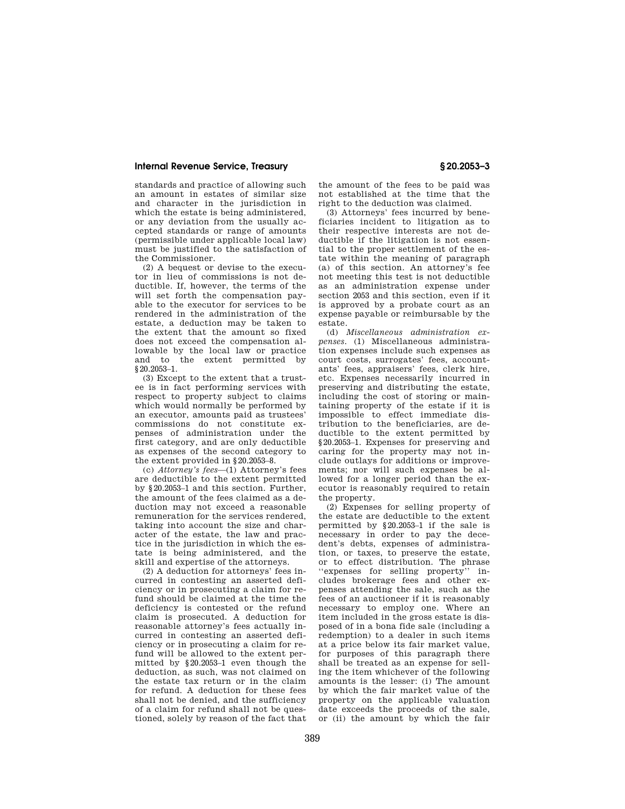## **Internal Revenue Service, Treasury § 20.2053–3**

standards and practice of allowing such an amount in estates of similar size and character in the jurisdiction in which the estate is being administered, or any deviation from the usually accepted standards or range of amounts (permissible under applicable local law) must be justified to the satisfaction of the Commissioner.

(2) A bequest or devise to the executor in lieu of commissions is not deductible. If, however, the terms of the will set forth the compensation payable to the executor for services to be rendered in the administration of the estate, a deduction may be taken to the extent that the amount so fixed does not exceed the compensation allowable by the local law or practice and to the extent permitted by §20.2053–1.

(3) Except to the extent that a trustee is in fact performing services with respect to property subject to claims which would normally be performed by an executor, amounts paid as trustees' commissions do not constitute expenses of administration under the first category, and are only deductible as expenses of the second category to the extent provided in §20.2053–8.

(c) *Attorney's fees*—(1) Attorney's fees are deductible to the extent permitted by §20.2053–1 and this section. Further, the amount of the fees claimed as a deduction may not exceed a reasonable remuneration for the services rendered, taking into account the size and character of the estate, the law and practice in the jurisdiction in which the estate is being administered, and the skill and expertise of the attorneys.

(2) A deduction for attorneys' fees incurred in contesting an asserted deficiency or in prosecuting a claim for refund should be claimed at the time the deficiency is contested or the refund claim is prosecuted. A deduction for reasonable attorney's fees actually incurred in contesting an asserted deficiency or in prosecuting a claim for refund will be allowed to the extent permitted by §20.2053–1 even though the deduction, as such, was not claimed on the estate tax return or in the claim for refund. A deduction for these fees shall not be denied, and the sufficiency of a claim for refund shall not be questioned, solely by reason of the fact that

the amount of the fees to be paid was not established at the time that the right to the deduction was claimed.

(3) Attorneys' fees incurred by beneficiaries incident to litigation as to their respective interests are not deductible if the litigation is not essential to the proper settlement of the estate within the meaning of paragraph (a) of this section. An attorney's fee not meeting this test is not deductible as an administration expense under section 2053 and this section, even if it is approved by a probate court as an expense payable or reimbursable by the estate.

(d) *Miscellaneous administration expenses.* (1) Miscellaneous administration expenses include such expenses as court costs, surrogates' fees, accountants' fees, appraisers' fees, clerk hire, etc. Expenses necessarily incurred in preserving and distributing the estate, including the cost of storing or maintaining property of the estate if it is impossible to effect immediate distribution to the beneficiaries, are deductible to the extent permitted by §20.2053–1. Expenses for preserving and caring for the property may not include outlays for additions or improvements; nor will such expenses be allowed for a longer period than the executor is reasonably required to retain the property.

(2) Expenses for selling property of the estate are deductible to the extent permitted by §20.2053–1 if the sale is necessary in order to pay the decedent's debts, expenses of administration, or taxes, to preserve the estate, or to effect distribution. The phrase ''expenses for selling property'' includes brokerage fees and other expenses attending the sale, such as the fees of an auctioneer if it is reasonably necessary to employ one. Where an item included in the gross estate is disposed of in a bona fide sale (including a redemption) to a dealer in such items at a price below its fair market value, for purposes of this paragraph there shall be treated as an expense for selling the item whichever of the following amounts is the lesser: (i) The amount by which the fair market value of the property on the applicable valuation date exceeds the proceeds of the sale, or (ii) the amount by which the fair